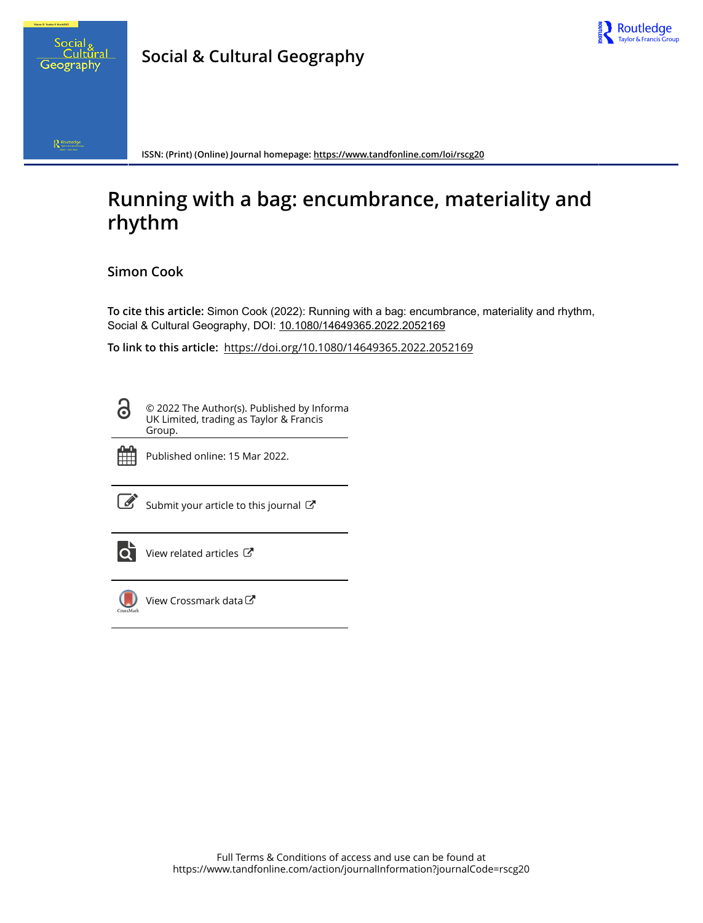



 $\bigotimes_{\mathsf{SystM}}\mathsf{Routledge}$ 

**ISSN: (Print) (Online) Journal homepage:<https://www.tandfonline.com/loi/rscg20>**

# **Running with a bag: encumbrance, materiality and rhythm**

## **Simon Cook**

**To cite this article:** Simon Cook (2022): Running with a bag: encumbrance, materiality and rhythm, Social & Cultural Geography, DOI: [10.1080/14649365.2022.2052169](https://www.tandfonline.com/action/showCitFormats?doi=10.1080/14649365.2022.2052169)

**To link to this article:** <https://doi.org/10.1080/14649365.2022.2052169>

<u>ය</u>

© 2022 The Author(s). Published by Informa UK Limited, trading as Taylor & Francis Group.



Published online: 15 Mar 2022.

 $\overrightarrow{S}$  [Submit your article to this journal](https://www.tandfonline.com/action/authorSubmission?journalCode=rscg20&show=instructions)  $\overrightarrow{S}$ 



 $\overrightarrow{Q}$  [View related articles](https://www.tandfonline.com/doi/mlt/10.1080/14649365.2022.2052169)  $\overrightarrow{C}$ 



[View Crossmark data](http://crossmark.crossref.org/dialog/?doi=10.1080/14649365.2022.2052169&domain=pdf&date_stamp=2022-03-15)し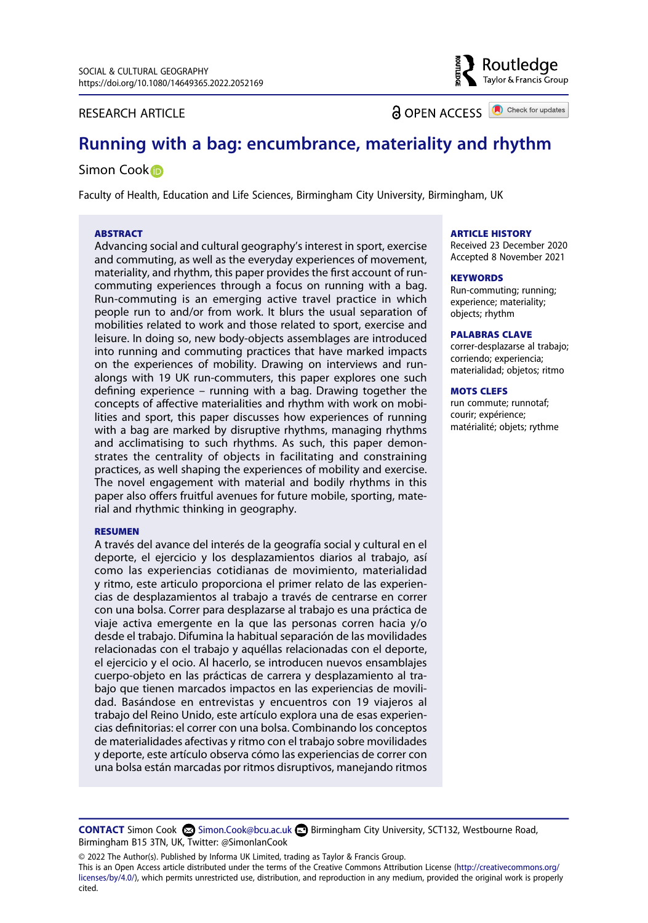#### RESEARCH ARTICLE

**a** OPEN ACCESS **a** Check for updates

Routledae Taylor & Francis Group

# **Running with a bag: encumbrance, materiality and rhythm**

#### Simon Coo[k](http://orcid.org/0000-0002-6074-6571)<sup>O</sup>

Faculty of Health, Education and Life Sciences, Birmingham City University, Birmingham, UK

#### **ABSTRACT**

Advancing social and cultural geography's interest in sport, exercise and commuting, as well as the everyday experiences of movement, materiality, and rhythm, this paper provides the first account of runcommuting experiences through a focus on running with a bag. Run-commuting is an emerging active travel practice in which people run to and/or from work. It blurs the usual separation of mobilities related to work and those related to sport, exercise and leisure. In doing so, new body-objects assemblages are introduced into running and commuting practices that have marked impacts on the experiences of mobility. Drawing on interviews and runalongs with 19 UK run-commuters, this paper explores one such defining experience – running with a bag. Drawing together the concepts of affective materialities and rhythm with work on mobilities and sport, this paper discusses how experiences of running with a bag are marked by disruptive rhythms, managing rhythms and acclimatising to such rhythms. As such, this paper demonstrates the centrality of objects in facilitating and constraining practices, as well shaping the experiences of mobility and exercise. The novel engagement with material and bodily rhythms in this paper also offers fruitful avenues for future mobile, sporting, material and rhythmic thinking in geography.

#### **RESUMEN**

A través del avance del interés de la geografía social y cultural en el deporte, el ejercicio y los desplazamientos diarios al trabajo, así como las experiencias cotidianas de movimiento, materialidad y ritmo, este articulo proporciona el primer relato de las experiencias de desplazamientos al trabajo a través de centrarse en correr con una bolsa. Correr para desplazarse al trabajo es una práctica de viaje activa emergente en la que las personas corren hacia y/o desde el trabajo. Difumina la habitual separación de las movilidades relacionadas con el trabajo y aquéllas relacionadas con el deporte, el ejercicio y el ocio. Al hacerlo, se introducen nuevos ensamblajes cuerpo-objeto en las prácticas de carrera y desplazamiento al trabajo que tienen marcados impactos en las experiencias de movilidad. Basándose en entrevistas y encuentros con 19 viajeros al trabajo del Reino Unido, este artículo explora una de esas experiencias definitorias: el correr con una bolsa. Combinando los conceptos de materialidades afectivas y ritmo con el trabajo sobre movilidades y deporte, este artículo observa cómo las experiencias de correr con una bolsa están marcadas por ritmos disruptivos, manejando ritmos

#### **ARTICLE HISTORY**

Received 23 December 2020 Accepted 8 November 2021

#### **KEYWORDS**

Run-commuting; running; experience; materiality; objects; rhythm

#### **PALABRAS CLAVE**

correr-desplazarse al trabajo; corriendo; experiencia; materialidad; objetos; ritmo

#### **MOTS CLEFS**

run commute; runnotaf; courir; expérience; matérialité; objets; rythme

**CONTACT** Simon Cook Simon.Cook@bcu.ac.uk Birmingham City University, SCT132, Westbourne Road, Birmingham B15 3TN, UK, Twitter: @SimonIanCook

© 2022 The Author(s). Published by Informa UK Limited, trading as Taylor & Francis Group.

This is an Open Access article distributed under the terms of the Creative Commons Attribution License (http://creativecommons.org/ licenses/by/4.0/), which permits unrestricted use, distribution, and reproduction in any medium, provided the original work is properly cited.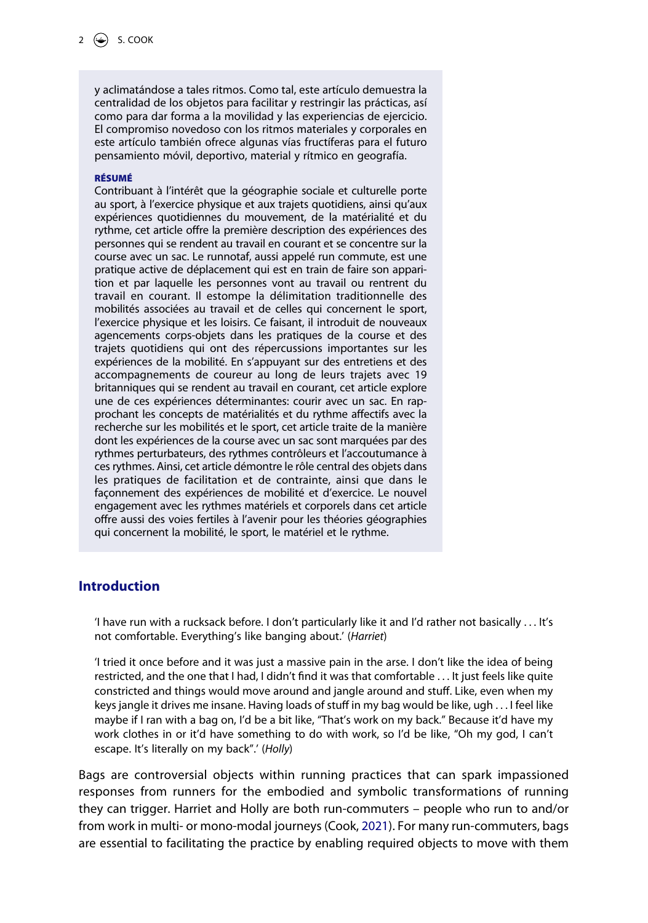y aclimatándose a tales ritmos. Como tal, este artículo demuestra la centralidad de los objetos para facilitar y restringir las prácticas, así como para dar forma a la movilidad y las experiencias de ejercicio. El compromiso novedoso con los ritmos materiales y corporales en este artículo también ofrece algunas vías fructíferas para el futuro pensamiento móvil, deportivo, material y rítmico en geografía.

#### **RÉSUMÉ**

Contribuant à l'intérêt que la géographie sociale et culturelle porte au sport, à l'exercice physique et aux trajets quotidiens, ainsi qu'aux expériences quotidiennes du mouvement, de la matérialité et du rythme, cet article offre la première description des expériences des personnes qui se rendent au travail en courant et se concentre sur la course avec un sac. Le runnotaf, aussi appelé run commute, est une pratique active de déplacement qui est en train de faire son apparition et par laquelle les personnes vont au travail ou rentrent du travail en courant. Il estompe la délimitation traditionnelle des mobilités associées au travail et de celles qui concernent le sport, l'exercice physique et les loisirs. Ce faisant, il introduit de nouveaux agencements corps-objets dans les pratiques de la course et des trajets quotidiens qui ont des répercussions importantes sur les expériences de la mobilité. En s'appuyant sur des entretiens et des accompagnements de coureur au long de leurs trajets avec 19 britanniques qui se rendent au travail en courant, cet article explore une de ces expériences déterminantes: courir avec un sac. En rapprochant les concepts de matérialités et du rythme affectifs avec la recherche sur les mobilités et le sport, cet article traite de la manière dont les expériences de la course avec un sac sont marquées par des rythmes perturbateurs, des rythmes contrôleurs et l'accoutumance à ces rythmes. Ainsi, cet article démontre le rôle central des objets dans les pratiques de facilitation et de contrainte, ainsi que dans le façonnement des expériences de mobilité et d'exercice. Le nouvel engagement avec les rythmes matériels et corporels dans cet article offre aussi des voies fertiles à l'avenir pour les théories géographies qui concernent la mobilité, le sport, le matériel et le rythme.

## **Introduction**

'I have run with a rucksack before. I don't particularly like it and I'd rather not basically . . . It's not comfortable. Everything's like banging about.' (*Harriet*)

'I tried it once before and it was just a massive pain in the arse. I don't like the idea of being restricted, and the one that I had, I didn't find it was that comfortable . . . It just feels like quite constricted and things would move around and jangle around and stuff. Like, even when my keys jangle it drives me insane. Having loads of stuff in my bag would be like, ugh . . . I feel like maybe if I ran with a bag on, I'd be a bit like, "That's work on my back." Because it'd have my work clothes in or it'd have something to do with work, so I'd be like, "Oh my god, I can't escape. It's literally on my back".' (*Holly*)

<span id="page-2-0"></span>Bags are controversial objects within running practices that can spark impassioned responses from runners for the embodied and symbolic transformations of running they can trigger. Harriet and Holly are both run-commuters – people who run to and/or from work in multi- or mono-modal journeys (Cook, [2021\)](#page-17-0). For many run-commuters, bags are essential to facilitating the practice by enabling required objects to move with them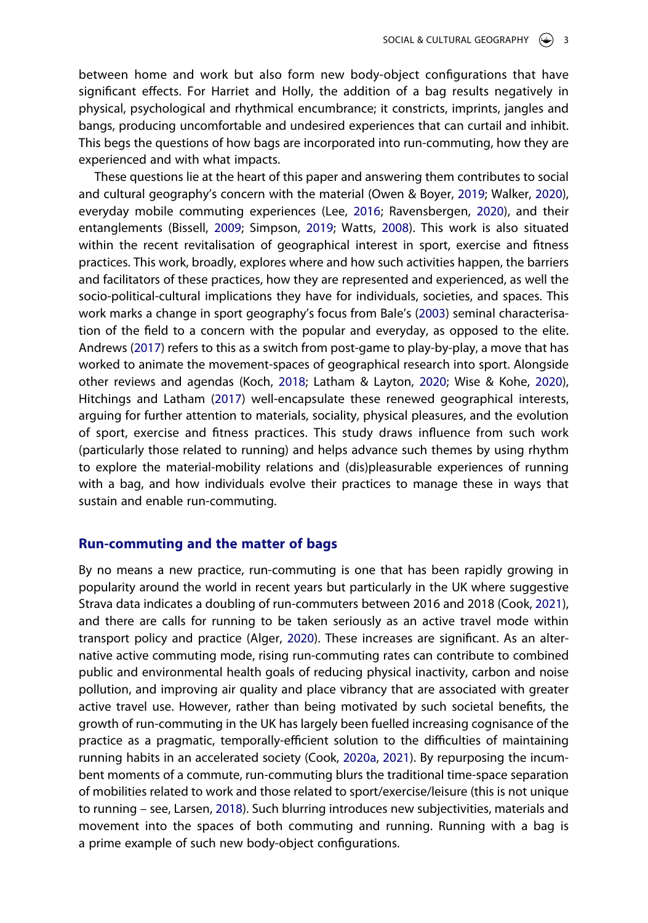between home and work but also form new body-object configurations that have significant effects. For Harriet and Holly, the addition of a bag results negatively in physical, psychological and rhythmical encumbrance; it constricts, imprints, jangles and bangs, producing uncomfortable and undesired experiences that can curtail and inhibit. This begs the questions of how bags are incorporated into run-commuting, how they are experienced and with what impacts.

<span id="page-3-9"></span><span id="page-3-8"></span><span id="page-3-3"></span><span id="page-3-2"></span><span id="page-3-1"></span>These questions lie at the heart of this paper and answering them contributes to social and cultural geography's concern with the material (Owen & Boyer, [2019](#page-18-0); Walker, [2020](#page-19-0)), everyday mobile commuting experiences (Lee, [2016;](#page-18-1) Ravensbergen, [2020\)](#page-19-1), and their entanglements (Bissell, [2009;](#page-17-1) Simpson, [2019;](#page-19-2) Watts, [2008](#page-19-3)). This work is also situated within the recent revitalisation of geographical interest in sport, exercise and fitness practices. This work, broadly, explores where and how such activities happen, the barriers and facilitators of these practices, how they are represented and experienced, as well the socio-political-cultural implications they have for individuals, societies, and spaces. This work marks a change in sport geography's focus from Bale's ([2003](#page-16-0)) seminal characterisation of the field to a concern with the popular and everyday, as opposed to the elite. Andrews [\(2017\)](#page-16-1) refers to this as a switch from post-game to play-by-play, a move that has worked to animate the movement-spaces of geographical research into sport. Alongside other reviews and agendas (Koch, [2018;](#page-18-2) Latham & Layton, [2020;](#page-18-3) Wise & Kohe, [2020](#page-19-4)), Hitchings and Latham ([2017](#page-18-4)) well-encapsulate these renewed geographical interests, arguing for further attention to materials, sociality, physical pleasures, and the evolution of sport, exercise and fitness practices. This study draws influence from such work (particularly those related to running) and helps advance such themes by using rhythm to explore the material-mobility relations and (dis)pleasurable experiences of running with a bag, and how individuals evolve their practices to manage these in ways that sustain and enable run-commuting.

## <span id="page-3-6"></span><span id="page-3-5"></span>**Run-commuting and the matter of bags**

<span id="page-3-7"></span><span id="page-3-4"></span><span id="page-3-0"></span>By no means a new practice, run-commuting is one that has been rapidly growing in popularity around the world in recent years but particularly in the UK where suggestive Strava data indicates a doubling of run-commuters between 2016 and 2018 (Cook, [2021](#page-17-0)), and there are calls for running to be taken seriously as an active travel mode within transport policy and practice (Alger, [2020](#page-16-2)). These increases are significant. As an alternative active commuting mode, rising run-commuting rates can contribute to combined public and environmental health goals of reducing physical inactivity, carbon and noise pollution, and improving air quality and place vibrancy that are associated with greater active travel use. However, rather than being motivated by such societal benefits, the growth of run-commuting in the UK has largely been fuelled increasing cognisance of the practice as a pragmatic, temporally-efficient solution to the difficulties of maintaining running habits in an accelerated society (Cook, [2020a,](#page-17-2) [2021](#page-17-0)). By repurposing the incumbent moments of a commute, run-commuting blurs the traditional time-space separation of mobilities related to work and those related to sport/exercise/leisure (this is not unique to running – see, Larsen, [2018\)](#page-18-5). Such blurring introduces new subjectivities, materials and movement into the spaces of both commuting and running. Running with a bag is a prime example of such new body-object configurations.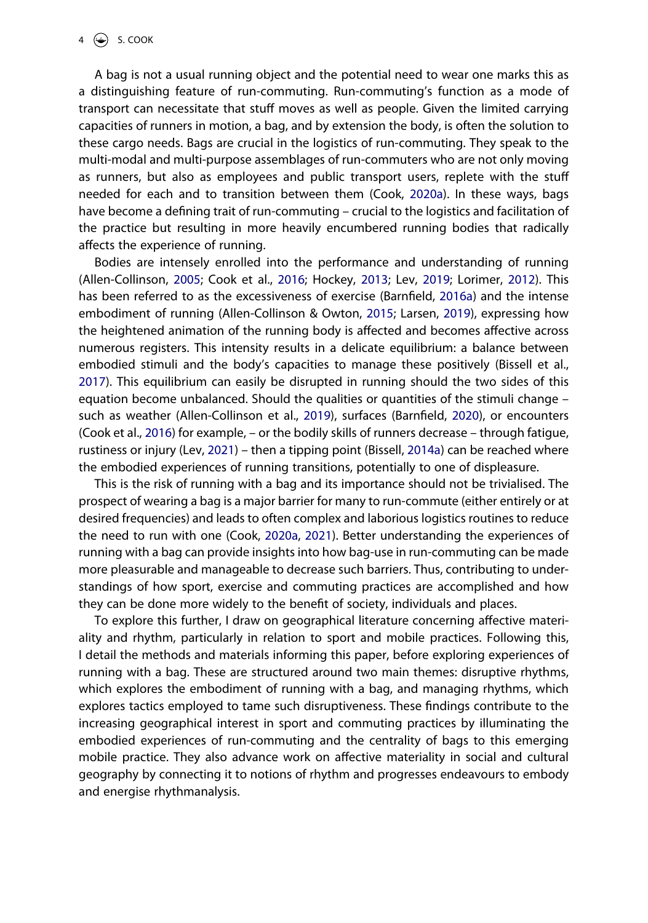A bag is not a usual running object and the potential need to wear one marks this as a distinguishing feature of run-commuting. Run-commuting's function as a mode of transport can necessitate that stuff moves as well as people. Given the limited carrying capacities of runners in motion, a bag, and by extension the body, is often the solution to these cargo needs. Bags are crucial in the logistics of run-commuting. They speak to the multi-modal and multi-purpose assemblages of run-commuters who are not only moving as runners, but also as employees and public transport users, replete with the stuff needed for each and to transition between them (Cook, [2020a](#page-17-2)). In these ways, bags have become a defining trait of run-commuting – crucial to the logistics and facilitation of the practice but resulting in more heavily encumbered running bodies that radically affects the experience of running.

<span id="page-4-5"></span><span id="page-4-3"></span><span id="page-4-2"></span><span id="page-4-0"></span>Bodies are intensely enrolled into the performance and understanding of running (Allen-Collinson, [2005;](#page-16-3) Cook et al., [2016](#page-17-3); Hockey, [2013;](#page-18-6) Lev, [2019;](#page-18-7) Lorimer, [2012\)](#page-18-8). This has been referred to as the excessiveness of exercise (Barnfield, [2016a](#page-16-4)) and the intense embodiment of running (Allen-Collinson & Owton, [2015;](#page-16-5) Larsen, [2019](#page-18-9)), expressing how the heightened animation of the running body is affected and becomes affective across numerous registers. This intensity results in a delicate equilibrium: a balance between embodied stimuli and the body's capacities to manage these positively (Bissell et al., [2017\)](#page-17-4). This equilibrium can easily be disrupted in running should the two sides of this equation become unbalanced. Should the qualities or quantities of the stimuli change – such as weather (Allen-Collinson et al., [2019\)](#page-16-6), surfaces (Barnfield, [2020\)](#page-16-7), or encounters (Cook et al., [2016\)](#page-17-3) for example, – or the bodily skills of runners decrease – through fatigue, rustiness or injury (Lev, [2021\)](#page-18-10) – then a tipping point (Bissell, [2014a\)](#page-17-5) can be reached where the embodied experiences of running transitions, potentially to one of displeasure.

<span id="page-4-6"></span><span id="page-4-4"></span><span id="page-4-1"></span>This is the risk of running with a bag and its importance should not be trivialised. The prospect of wearing a bag is a major barrier for many to run-commute (either entirely or at desired frequencies) and leads to often complex and laborious logistics routines to reduce the need to run with one (Cook, [2020a](#page-17-2), [2021\)](#page-17-0). Better understanding the experiences of running with a bag can provide insights into how bag-use in run-commuting can be made more pleasurable and manageable to decrease such barriers. Thus, contributing to understandings of how sport, exercise and commuting practices are accomplished and how they can be done more widely to the benefit of society, individuals and places.

To explore this further, I draw on geographical literature concerning affective materiality and rhythm, particularly in relation to sport and mobile practices. Following this, I detail the methods and materials informing this paper, before exploring experiences of running with a bag. These are structured around two main themes: disruptive rhythms, which explores the embodiment of running with a bag, and managing rhythms, which explores tactics employed to tame such disruptiveness. These findings contribute to the increasing geographical interest in sport and commuting practices by illuminating the embodied experiences of run-commuting and the centrality of bags to this emerging mobile practice. They also advance work on affective materiality in social and cultural geography by connecting it to notions of rhythm and progresses endeavours to embody and energise rhythmanalysis.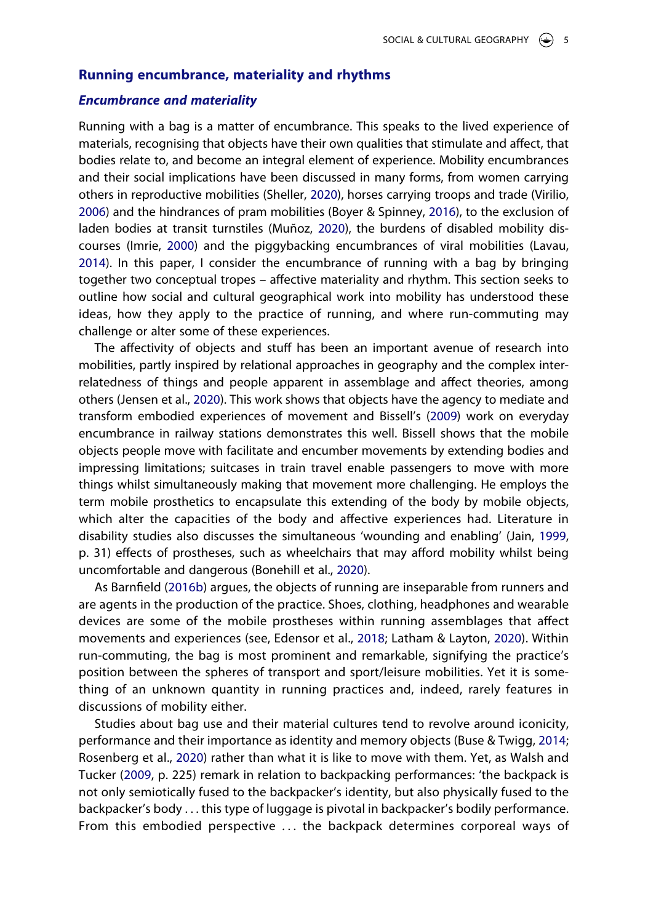#### **Running encumbrance, materiality and rhythms**

#### *Encumbrance and materiality*

<span id="page-5-10"></span><span id="page-5-8"></span><span id="page-5-2"></span>Running with a bag is a matter of encumbrance. This speaks to the lived experience of materials, recognising that objects have their own qualities that stimulate and affect, that bodies relate to, and become an integral element of experience. Mobility encumbrances and their social implications have been discussed in many forms, from women carrying others in reproductive mobilities (Sheller, [2020\)](#page-19-5), horses carrying troops and trade (Virilio, [2006\)](#page-19-6) and the hindrances of pram mobilities (Boyer & Spinney, [2016](#page-17-6)), to the exclusion of laden bodies at transit turnstiles (Muñoz, [2020\)](#page-18-11), the burdens of disabled mobility discourses (Imrie, [2000\)](#page-18-12) and the piggybacking encumbrances of viral mobilities (Lavau, [2014\)](#page-18-13). In this paper, I consider the encumbrance of running with a bag by bringing together two conceptual tropes – affective materiality and rhythm. This section seeks to outline how social and cultural geographical work into mobility has understood these ideas, how they apply to the practice of running, and where run-commuting may challenge or alter some of these experiences.

<span id="page-5-7"></span><span id="page-5-5"></span>The affectivity of objects and stuff has been an important avenue of research into mobilities, partly inspired by relational approaches in geography and the complex interrelatedness of things and people apparent in assemblage and affect theories, among others (Jensen et al., [2020\)](#page-18-14). This work shows that objects have the agency to mediate and transform embodied experiences of movement and Bissell's ([2009](#page-17-1)) work on everyday encumbrance in railway stations demonstrates this well. Bissell shows that the mobile objects people move with facilitate and encumber movements by extending bodies and impressing limitations; suitcases in train travel enable passengers to move with more things whilst simultaneously making that movement more challenging. He employs the term mobile prosthetics to encapsulate this extending of the body by mobile objects, which alter the capacities of the body and affective experiences had. Literature in disability studies also discusses the simultaneous 'wounding and enabling' (Jain, [1999](#page-18-15), p. 31) effects of prostheses, such as wheelchairs that may afford mobility whilst being uncomfortable and dangerous (Bonehill et al., [2020\)](#page-17-7).

<span id="page-5-6"></span><span id="page-5-4"></span><span id="page-5-1"></span><span id="page-5-0"></span>As Barnfield [\(2016b\)](#page-16-8) argues, the objects of running are inseparable from runners and are agents in the production of the practice. Shoes, clothing, headphones and wearable devices are some of the mobile prostheses within running assemblages that affect movements and experiences (see, Edensor et al., [2018](#page-17-8); Latham & Layton, [2020](#page-18-3)). Within run-commuting, the bag is most prominent and remarkable, signifying the practice's position between the spheres of transport and sport/leisure mobilities. Yet it is something of an unknown quantity in running practices and, indeed, rarely features in discussions of mobility either.

<span id="page-5-11"></span><span id="page-5-9"></span><span id="page-5-3"></span>Studies about bag use and their material cultures tend to revolve around iconicity, performance and their importance as identity and memory objects (Buse & Twigg, [2014](#page-17-9); Rosenberg et al., [2020\)](#page-19-7) rather than what it is like to move with them. Yet, as Walsh and Tucker [\(2009](#page-19-8), p. 225) remark in relation to backpacking performances: 'the backpack is not only semiotically fused to the backpacker's identity, but also physically fused to the backpacker's body . . . this type of luggage is pivotal in backpacker's bodily performance. From this embodied perspective . . . the backpack determines corporeal ways of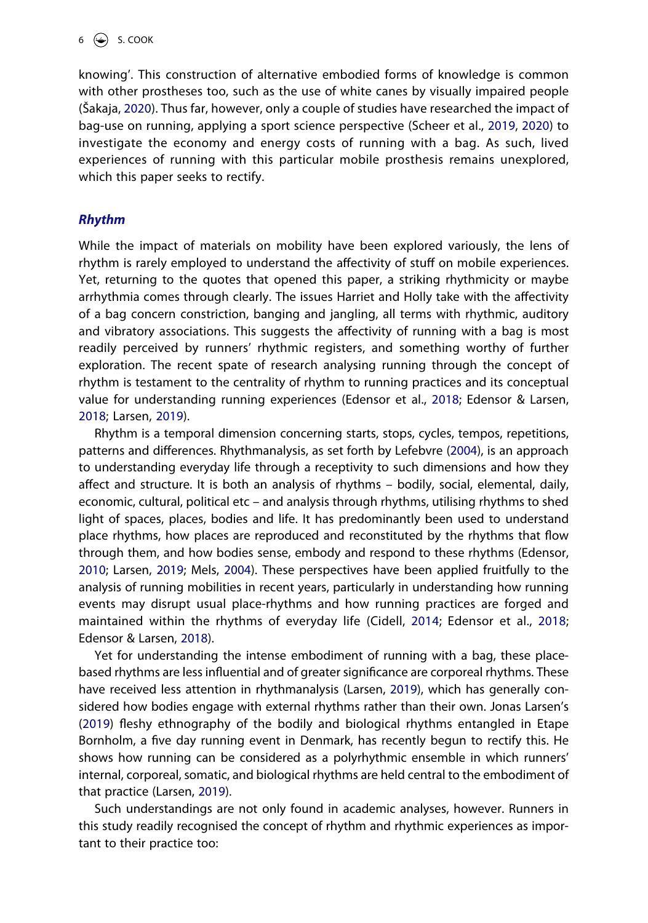<span id="page-6-6"></span><span id="page-6-5"></span>knowing'. This construction of alternative embodied forms of knowledge is common with other prostheses too, such as the use of white canes by visually impaired people (Šakaja, [2020](#page-19-9)). Thus far, however, only a couple of studies have researched the impact of bag-use on running, applying a sport science perspective (Scheer et al., [2019](#page-19-10), [2020](#page-19-11)) to investigate the economy and energy costs of running with a bag. As such, lived experiences of running with this particular mobile prosthesis remains unexplored, which this paper seeks to rectify.

## *Rhythm*

While the impact of materials on mobility have been explored variously, the lens of rhythm is rarely employed to understand the affectivity of stuff on mobile experiences. Yet, returning to the quotes that opened this paper, a striking rhythmicity or maybe arrhythmia comes through clearly. The issues Harriet and Holly take with the affectivity of a bag concern constriction, banging and jangling, all terms with rhythmic, auditory and vibratory associations. This suggests the affectivity of running with a bag is most readily perceived by runners' rhythmic registers, and something worthy of further exploration. The recent spate of research analysing running through the concept of rhythm is testament to the centrality of rhythm to running practices and its conceptual value for understanding running experiences (Edensor et al., [2018;](#page-17-8) Edensor & Larsen, [2018;](#page-17-10) Larsen, [2019\)](#page-18-9).

<span id="page-6-3"></span>Rhythm is a temporal dimension concerning starts, stops, cycles, tempos, repetitions, patterns and differences. Rhythmanalysis, as set forth by Lefebvre ([2004](#page-18-16)), is an approach to understanding everyday life through a receptivity to such dimensions and how they affect and structure. It is both an analysis of rhythms – bodily, social, elemental, daily, economic, cultural, political etc – and analysis through rhythms, utilising rhythms to shed light of spaces, places, bodies and life. It has predominantly been used to understand place rhythms, how places are reproduced and reconstituted by the rhythms that flow through them, and how bodies sense, embody and respond to these rhythms (Edensor, [2010;](#page-17-11) Larsen, [2019;](#page-18-9) Mels, [2004](#page-18-17)). These perspectives have been applied fruitfully to the analysis of running mobilities in recent years, particularly in understanding how running events may disrupt usual place-rhythms and how running practices are forged and maintained within the rhythms of everyday life (Cidell, [2014](#page-17-12); Edensor et al., [2018](#page-17-8); Edensor & Larsen, [2018](#page-17-10)).

<span id="page-6-4"></span><span id="page-6-2"></span><span id="page-6-1"></span><span id="page-6-0"></span>Yet for understanding the intense embodiment of running with a bag, these placebased rhythms are less influential and of greater significance are corporeal rhythms. These have received less attention in rhythmanalysis (Larsen, [2019\)](#page-18-9), which has generally considered how bodies engage with external rhythms rather than their own. Jonas Larsen's ([2019\)](#page-18-9) fleshy ethnography of the bodily and biological rhythms entangled in Etape Bornholm, a five day running event in Denmark, has recently begun to rectify this. He shows how running can be considered as a polyrhythmic ensemble in which runners' internal, corporeal, somatic, and biological rhythms are held central to the embodiment of that practice (Larsen, [2019\)](#page-18-9).

Such understandings are not only found in academic analyses, however. Runners in this study readily recognised the concept of rhythm and rhythmic experiences as important to their practice too: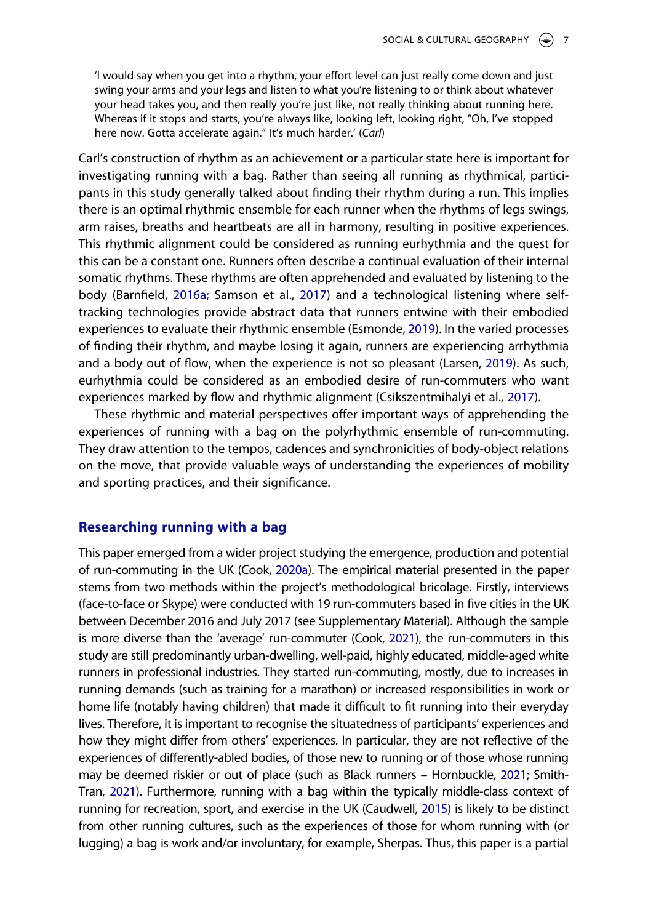'I would say when you get into a rhythm, your effort level can just really come down and just swing your arms and your legs and listen to what you're listening to or think about whatever your head takes you, and then really you're just like, not really thinking about running here. Whereas if it stops and starts, you're always like, looking left, looking right, "Oh, I've stopped here now. Gotta accelerate again." It's much harder.' (*Carl*)

Carl's construction of rhythm as an achievement or a particular state here is important for investigating running with a bag. Rather than seeing all running as rhythmical, participants in this study generally talked about finding their rhythm during a run. This implies there is an optimal rhythmic ensemble for each runner when the rhythms of legs swings, arm raises, breaths and heartbeats are all in harmony, resulting in positive experiences. This rhythmic alignment could be considered as running eurhythmia and the quest for this can be a constant one. Runners often describe a continual evaluation of their internal somatic rhythms. These rhythms are often apprehended and evaluated by listening to the body (Barnfield, [2016a](#page-16-4); Samson et al., [2017\)](#page-19-12) and a technological listening where selftracking technologies provide abstract data that runners entwine with their embodied experiences to evaluate their rhythmic ensemble (Esmonde, [2019](#page-17-13)). In the varied processes of finding their rhythm, and maybe losing it again, runners are experiencing arrhythmia and a body out of flow, when the experience is not so pleasant (Larsen, [2019](#page-18-9)). As such, eurhythmia could be considered as an embodied desire of run-commuters who want experiences marked by flow and rhythmic alignment (Csikszentmihalyi et al., [2017\)](#page-17-14).

<span id="page-7-4"></span><span id="page-7-2"></span><span id="page-7-1"></span>These rhythmic and material perspectives offer important ways of apprehending the experiences of running with a bag on the polyrhythmic ensemble of run-commuting. They draw attention to the tempos, cadences and synchronicities of body-object relations on the move, that provide valuable ways of understanding the experiences of mobility and sporting practices, and their significance.

## **Researching running with a bag**

<span id="page-7-5"></span><span id="page-7-3"></span><span id="page-7-0"></span>This paper emerged from a wider project studying the emergence, production and potential of run-commuting in the UK (Cook, [2020a\)](#page-17-2). The empirical material presented in the paper stems from two methods within the project's methodological bricolage. Firstly, interviews (face-to-face or Skype) were conducted with 19 run-commuters based in five cities in the UK between December 2016 and July 2017 (see Supplementary Material). Although the sample is more diverse than the 'average' run-commuter (Cook, [2021](#page-17-0)), the run-commuters in this study are still predominantly urban-dwelling, well-paid, highly educated, middle-aged white runners in professional industries. They started run-commuting, mostly, due to increases in running demands (such as training for a marathon) or increased responsibilities in work or home life (notably having children) that made it difficult to fit running into their everyday lives. Therefore, it is important to recognise the situatedness of participants' experiences and how they might differ from others' experiences. In particular, they are not reflective of the experiences of differently-abled bodies, of those new to running or of those whose running may be deemed riskier or out of place (such as Black runners – Hornbuckle, [2021](#page-18-18); Smith-Tran, [2021](#page-19-13)). Furthermore, running with a bag within the typically middle-class context of running for recreation, sport, and exercise in the UK (Caudwell, [2015\)](#page-17-15) is likely to be distinct from other running cultures, such as the experiences of those for whom running with (or lugging) a bag is work and/or involuntary, for example, Sherpas. Thus, this paper is a partial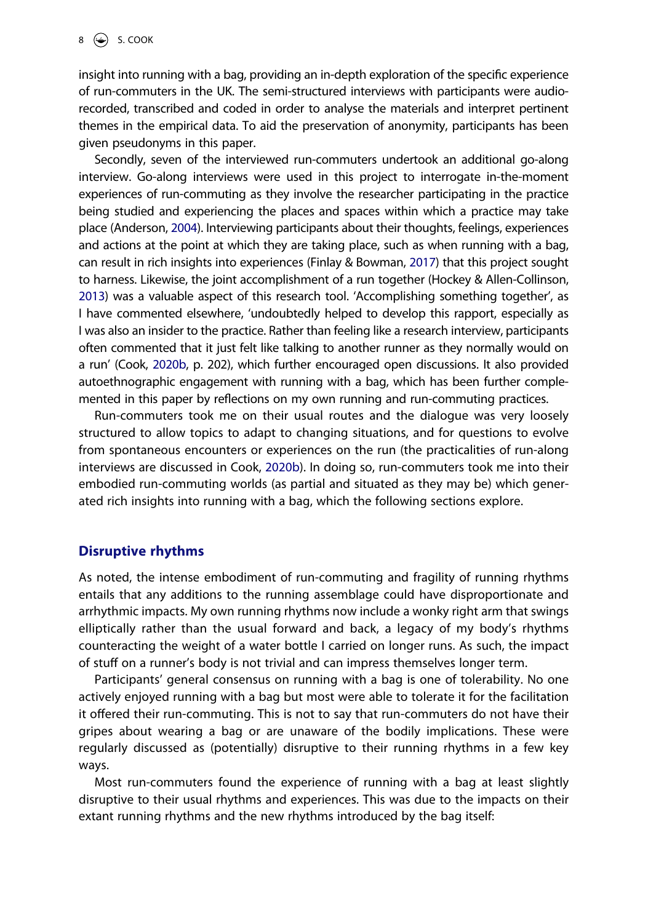insight into running with a bag, providing an in-depth exploration of the specific experience of run-commuters in the UK. The semi-structured interviews with participants were audiorecorded, transcribed and coded in order to analyse the materials and interpret pertinent themes in the empirical data. To aid the preservation of anonymity, participants has been given pseudonyms in this paper.

<span id="page-8-3"></span><span id="page-8-2"></span><span id="page-8-0"></span>Secondly, seven of the interviewed run-commuters undertook an additional go-along interview. Go-along interviews were used in this project to interrogate in-the-moment experiences of run-commuting as they involve the researcher participating in the practice being studied and experiencing the places and spaces within which a practice may take place (Anderson, [2004](#page-16-9)). Interviewing participants about their thoughts, feelings, experiences and actions at the point at which they are taking place, such as when running with a bag, can result in rich insights into experiences (Finlay & Bowman, [2017\)](#page-17-16) that this project sought to harness. Likewise, the joint accomplishment of a run together (Hockey & Allen-Collinson, [2013\)](#page-18-19) was a valuable aspect of this research tool. 'Accomplishing something together', as I have commented elsewhere, 'undoubtedly helped to develop this rapport, especially as I was also an insider to the practice. Rather than feeling like a research interview, participants often commented that it just felt like talking to another runner as they normally would on a run' (Cook, [2020b,](#page-17-17) p. 202), which further encouraged open discussions. It also provided autoethnographic engagement with running with a bag, which has been further complemented in this paper by reflections on my own running and run-commuting practices.

<span id="page-8-1"></span>Run-commuters took me on their usual routes and the dialogue was very loosely structured to allow topics to adapt to changing situations, and for questions to evolve from spontaneous encounters or experiences on the run (the practicalities of run-along interviews are discussed in Cook, [2020b](#page-17-17)). In doing so, run-commuters took me into their embodied run-commuting worlds (as partial and situated as they may be) which generated rich insights into running with a bag, which the following sections explore.

## **Disruptive rhythms**

As noted, the intense embodiment of run-commuting and fragility of running rhythms entails that any additions to the running assemblage could have disproportionate and arrhythmic impacts. My own running rhythms now include a wonky right arm that swings elliptically rather than the usual forward and back, a legacy of my body's rhythms counteracting the weight of a water bottle I carried on longer runs. As such, the impact of stuff on a runner's body is not trivial and can impress themselves longer term.

Participants' general consensus on running with a bag is one of tolerability. No one actively enjoyed running with a bag but most were able to tolerate it for the facilitation it offered their run-commuting. This is not to say that run-commuters do not have their gripes about wearing a bag or are unaware of the bodily implications. These were regularly discussed as (potentially) disruptive to their running rhythms in a few key ways.

Most run-commuters found the experience of running with a bag at least slightly disruptive to their usual rhythms and experiences. This was due to the impacts on their extant running rhythms and the new rhythms introduced by the bag itself: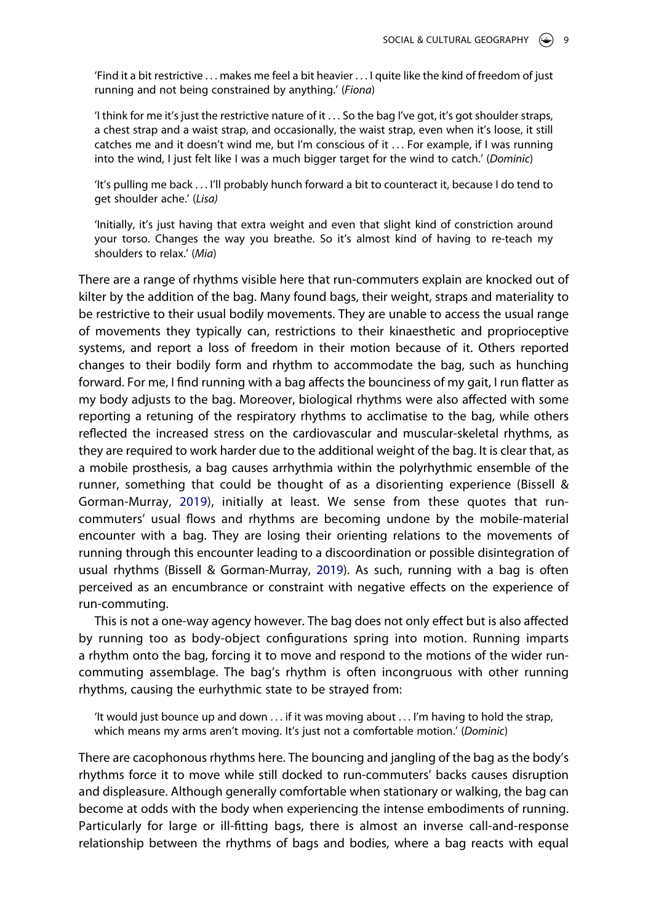'Find it a bit restrictive . . . makes me feel a bit heavier . . . I quite like the kind of freedom of just running and not being constrained by anything.' (*Fiona*)

'I think for me it's just the restrictive nature of it . . . So the bag I've got, it's got shoulder straps, a chest strap and a waist strap, and occasionally, the waist strap, even when it's loose, it still catches me and it doesn't wind me, but I'm conscious of it . . . For example, if I was running into the wind, I just felt like I was a much bigger target for the wind to catch.' (*Dominic*)

'It's pulling me back . . . I'll probably hunch forward a bit to counteract it, because I do tend to get shoulder ache.' (*Lisa)*

'Initially, it's just having that extra weight and even that slight kind of constriction around your torso. Changes the way you breathe. So it's almost kind of having to re-teach my shoulders to relax.' (*Mia*)

There are a range of rhythms visible here that run-commuters explain are knocked out of kilter by the addition of the bag. Many found bags, their weight, straps and materiality to be restrictive to their usual bodily movements. They are unable to access the usual range of movements they typically can, restrictions to their kinaesthetic and proprioceptive systems, and report a loss of freedom in their motion because of it. Others reported changes to their bodily form and rhythm to accommodate the bag, such as hunching forward. For me, I find running with a bag affects the bounciness of my gait, I run flatter as my body adjusts to the bag. Moreover, biological rhythms were also affected with some reporting a retuning of the respiratory rhythms to acclimatise to the bag, while others reflected the increased stress on the cardiovascular and muscular-skeletal rhythms, as they are required to work harder due to the additional weight of the bag. It is clear that, as a mobile prosthesis, a bag causes arrhythmia within the polyrhythmic ensemble of the runner, something that could be thought of as a disorienting experience (Bissell & Gorman-Murray, [2019\)](#page-17-18), initially at least. We sense from these quotes that runcommuters' usual flows and rhythms are becoming undone by the mobile-material encounter with a bag. They are losing their orienting relations to the movements of running through this encounter leading to a discoordination or possible disintegration of usual rhythms (Bissell & Gorman-Murray, [2019](#page-17-18)). As such, running with a bag is often perceived as an encumbrance or constraint with negative effects on the experience of run-commuting.

<span id="page-9-0"></span>This is not a one-way agency however. The bag does not only effect but is also affected by running too as body-object configurations spring into motion. Running imparts a rhythm onto the bag, forcing it to move and respond to the motions of the wider runcommuting assemblage. The bag's rhythm is often incongruous with other running rhythms, causing the eurhythmic state to be strayed from:

'It would just bounce up and down  $\dots$  if it was moving about  $\dots$  I'm having to hold the strap, which means my arms aren't moving. It's just not a comfortable motion.' (*Dominic*)

There are cacophonous rhythms here. The bouncing and jangling of the bag as the body's rhythms force it to move while still docked to run-commuters' backs causes disruption and displeasure. Although generally comfortable when stationary or walking, the bag can become at odds with the body when experiencing the intense embodiments of running. Particularly for large or ill-fitting bags, there is almost an inverse call-and-response relationship between the rhythms of bags and bodies, where a bag reacts with equal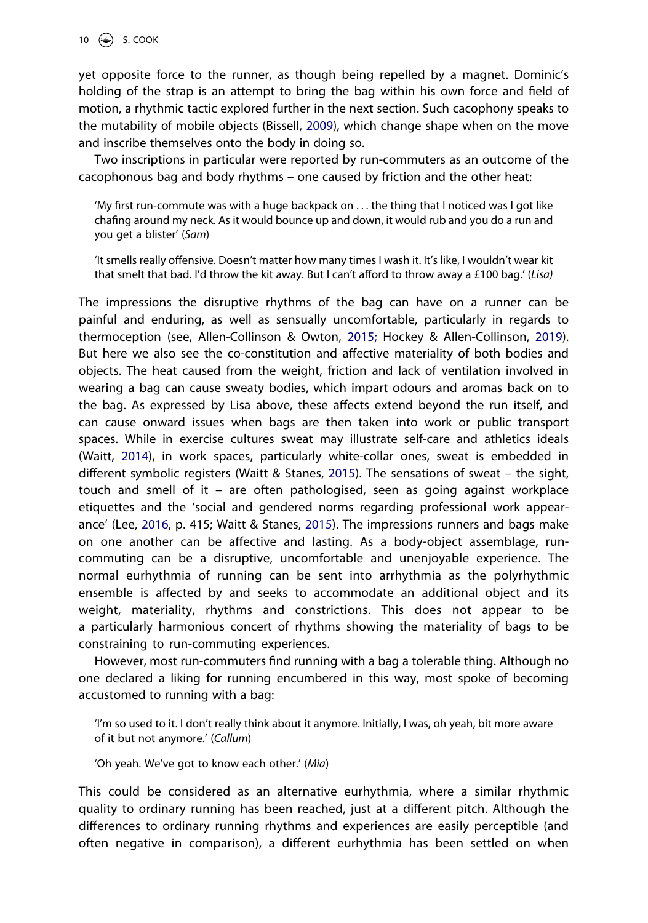10  $\bigodot$  S. COOK

yet opposite force to the runner, as though being repelled by a magnet. Dominic's holding of the strap is an attempt to bring the bag within his own force and field of motion, a rhythmic tactic explored further in the next section. Such cacophony speaks to the mutability of mobile objects (Bissell, [2009\)](#page-17-1), which change shape when on the move and inscribe themselves onto the body in doing so.

Two inscriptions in particular were reported by run-commuters as an outcome of the cacophonous bag and body rhythms – one caused by friction and the other heat:

'My first run-commute was with a huge backpack on . . . the thing that I noticed was I got like chafing around my neck. As it would bounce up and down, it would rub and you do a run and you get a blister' (*Sam*)

'It smells really offensive. Doesn't matter how many times I wash it. It's like, I wouldn't wear kit that smelt that bad. I'd throw the kit away. But I can't afford to throw away a £100 bag.' (*Lisa)*

<span id="page-10-1"></span><span id="page-10-0"></span>The impressions the disruptive rhythms of the bag can have on a runner can be painful and enduring, as well as sensually uncomfortable, particularly in regards to thermoception (see, Allen-Collinson & Owton, [2015;](#page-16-5) Hockey & Allen-Collinson, [2019](#page-18-20)). But here we also see the co-constitution and affective materiality of both bodies and objects. The heat caused from the weight, friction and lack of ventilation involved in wearing a bag can cause sweaty bodies, which impart odours and aromas back on to the bag. As expressed by Lisa above, these affects extend beyond the run itself, and can cause onward issues when bags are then taken into work or public transport spaces. While in exercise cultures sweat may illustrate self-care and athletics ideals (Waitt, [2014](#page-19-14)), in work spaces, particularly white-collar ones, sweat is embedded in different symbolic registers (Waitt & Stanes, [2015\)](#page-19-15). The sensations of sweat – the sight, touch and smell of it – are often pathologised, seen as going against workplace etiquettes and the 'social and gendered norms regarding professional work appearance' (Lee, [2016](#page-18-1), p. 415; Waitt & Stanes, [2015\)](#page-19-15). The impressions runners and bags make on one another can be affective and lasting. As a body-object assemblage, runcommuting can be a disruptive, uncomfortable and unenjoyable experience. The normal eurhythmia of running can be sent into arrhythmia as the polyrhythmic ensemble is affected by and seeks to accommodate an additional object and its weight, materiality, rhythms and constrictions. This does not appear to be a particularly harmonious concert of rhythms showing the materiality of bags to be constraining to run-commuting experiences.

<span id="page-10-2"></span>However, most run-commuters find running with a bag a tolerable thing. Although no one declared a liking for running encumbered in this way, most spoke of becoming accustomed to running with a bag:

'I'm so used to it. I don't really think about it anymore. Initially, I was, oh yeah, bit more aware of it but not anymore.' (*Callum*)

'Oh yeah. We've got to know each other.' (*Mia*)

This could be considered as an alternative eurhythmia, where a similar rhythmic quality to ordinary running has been reached, just at a different pitch. Although the differences to ordinary running rhythms and experiences are easily perceptible (and often negative in comparison), a different eurhythmia has been settled on when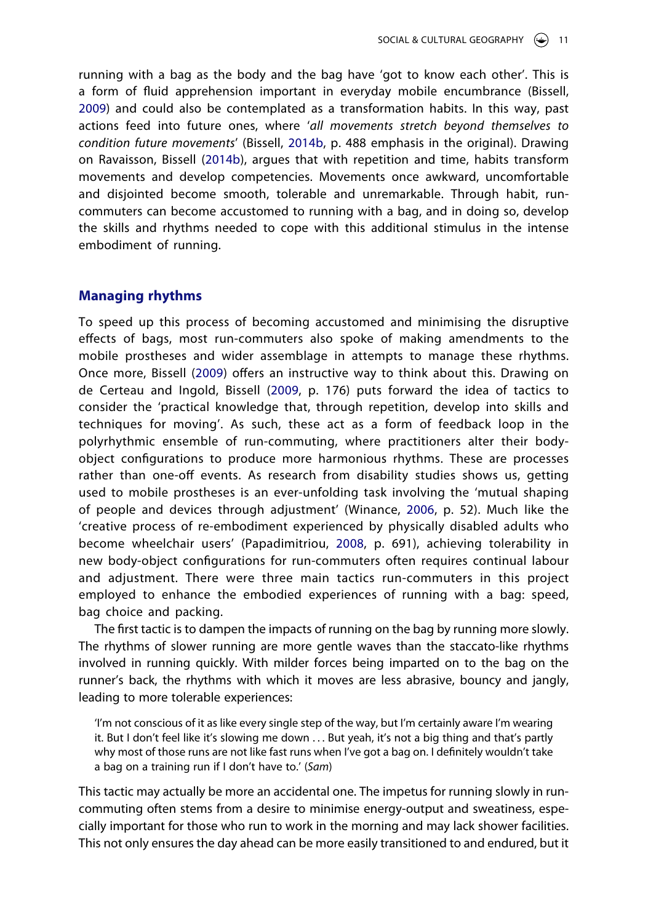<span id="page-11-0"></span>running with a bag as the body and the bag have 'got to know each other'. This is a form of fluid apprehension important in everyday mobile encumbrance (Bissell, [2009\)](#page-17-1) and could also be contemplated as a transformation habits. In this way, past actions feed into future ones, where '*all movements stretch beyond themselves to condition future movements*' (Bissell, [2014b](#page-17-19), p. 488 emphasis in the original). Drawing on Ravaisson, Bissell [\(2014b](#page-17-19)), argues that with repetition and time, habits transform movements and develop competencies. Movements once awkward, uncomfortable and disjointed become smooth, tolerable and unremarkable. Through habit, runcommuters can become accustomed to running with a bag, and in doing so, develop the skills and rhythms needed to cope with this additional stimulus in the intense embodiment of running.

#### **Managing rhythms**

To speed up this process of becoming accustomed and minimising the disruptive effects of bags, most run-commuters also spoke of making amendments to the mobile prostheses and wider assemblage in attempts to manage these rhythms. Once more, Bissell ([2009](#page-17-1)) offers an instructive way to think about this. Drawing on de Certeau and Ingold, Bissell [\(2009,](#page-17-1) p. 176) puts forward the idea of tactics to consider the 'practical knowledge that, through repetition, develop into skills and techniques for moving'. As such, these act as a form of feedback loop in the polyrhythmic ensemble of run-commuting, where practitioners alter their bodyobject configurations to produce more harmonious rhythms. These are processes rather than one-off events. As research from disability studies shows us, getting used to mobile prostheses is an ever-unfolding task involving the 'mutual shaping of people and devices through adjustment' (Winance, [2006,](#page-19-16) p. 52). Much like the 'creative process of re-embodiment experienced by physically disabled adults who become wheelchair users' (Papadimitriou, [2008](#page-19-17), p. 691), achieving tolerability in new body-object configurations for run-commuters often requires continual labour and adjustment. There were three main tactics run-commuters in this project employed to enhance the embodied experiences of running with a bag: speed, bag choice and packing.

<span id="page-11-2"></span><span id="page-11-1"></span>The first tactic is to dampen the impacts of running on the bag by running more slowly. The rhythms of slower running are more gentle waves than the staccato-like rhythms involved in running quickly. With milder forces being imparted on to the bag on the runner's back, the rhythms with which it moves are less abrasive, bouncy and jangly, leading to more tolerable experiences:

'I'm not conscious of it as like every single step of the way, but I'm certainly aware I'm wearing it. But I don't feel like it's slowing me down ... But yeah, it's not a big thing and that's partly why most of those runs are not like fast runs when I've got a bag on. I definitely wouldn't take a bag on a training run if I don't have to.' (*Sam*)

This tactic may actually be more an accidental one. The impetus for running slowly in runcommuting often stems from a desire to minimise energy-output and sweatiness, especially important for those who run to work in the morning and may lack shower facilities. This not only ensures the day ahead can be more easily transitioned to and endured, but it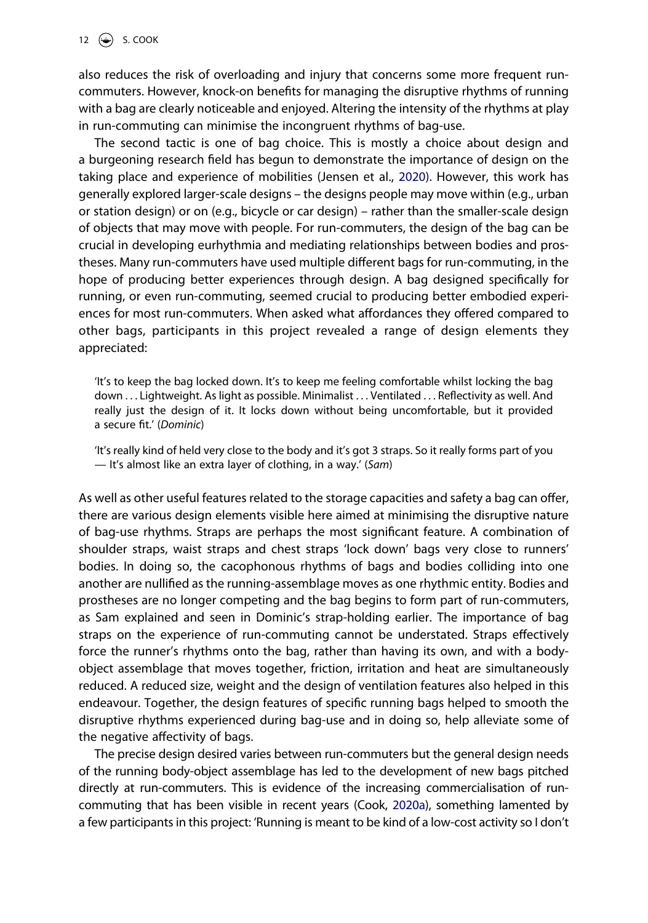also reduces the risk of overloading and injury that concerns some more frequent runcommuters. However, knock-on benefits for managing the disruptive rhythms of running with a bag are clearly noticeable and enjoyed. Altering the intensity of the rhythms at play in run-commuting can minimise the incongruent rhythms of bag-use.

The second tactic is one of bag choice. This is mostly a choice about design and a burgeoning research field has begun to demonstrate the importance of design on the taking place and experience of mobilities (Jensen et al., [2020](#page-18-14)). However, this work has generally explored larger-scale designs – the designs people may move within (e.g., urban or station design) or on (e.g., bicycle or car design) – rather than the smaller-scale design of objects that may move with people. For run-commuters, the design of the bag can be crucial in developing eurhythmia and mediating relationships between bodies and prostheses. Many run-commuters have used multiple different bags for run-commuting, in the hope of producing better experiences through design. A bag designed specifically for running, or even run-commuting, seemed crucial to producing better embodied experiences for most run-commuters. When asked what affordances they offered compared to other bags, participants in this project revealed a range of design elements they appreciated:

'It's to keep the bag locked down. It's to keep me feeling comfortable whilst locking the bag down . . . Lightweight. As light as possible. Minimalist . . . Ventilated . . . Reflectivity as well. And really just the design of it. It locks down without being uncomfortable, but it provided a secure fit.' (*Dominic*)

'It's really kind of held very close to the body and it's got 3 straps. So it really forms part of you — It's almost like an extra layer of clothing, in a way.' (*Sam*)

As well as other useful features related to the storage capacities and safety a bag can offer, there are various design elements visible here aimed at minimising the disruptive nature of bag-use rhythms. Straps are perhaps the most significant feature. A combination of shoulder straps, waist straps and chest straps 'lock down' bags very close to runners' bodies. In doing so, the cacophonous rhythms of bags and bodies colliding into one another are nullified as the running-assemblage moves as one rhythmic entity. Bodies and prostheses are no longer competing and the bag begins to form part of run-commuters, as Sam explained and seen in Dominic's strap-holding earlier. The importance of bag straps on the experience of run-commuting cannot be understated. Straps effectively force the runner's rhythms onto the bag, rather than having its own, and with a bodyobject assemblage that moves together, friction, irritation and heat are simultaneously reduced. A reduced size, weight and the design of ventilation features also helped in this endeavour. Together, the design features of specific running bags helped to smooth the disruptive rhythms experienced during bag-use and in doing so, help alleviate some of the negative affectivity of bags.

The precise design desired varies between run-commuters but the general design needs of the running body-object assemblage has led to the development of new bags pitched directly at run-commuters. This is evidence of the increasing commercialisation of runcommuting that has been visible in recent years (Cook, [2020a\)](#page-17-2), something lamented by a few participants in this project: 'Running is meant to be kind of a low-cost activity so I don't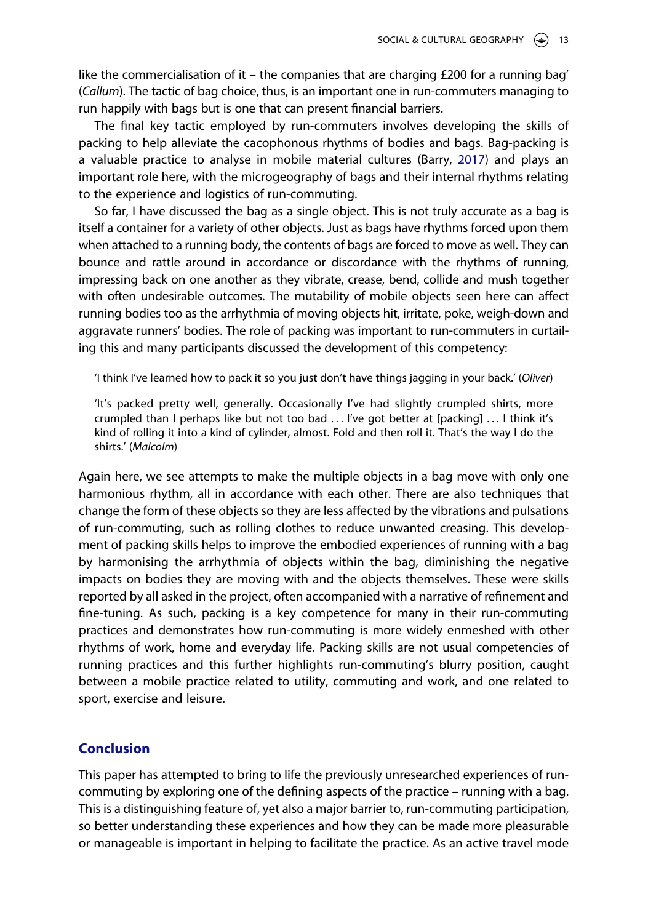like the commercialisation of it – the companies that are charging  $£200$  for a running bag' (*Callum*). The tactic of bag choice, thus, is an important one in run-commuters managing to run happily with bags but is one that can present financial barriers.

<span id="page-13-0"></span>The final key tactic employed by run-commuters involves developing the skills of packing to help alleviate the cacophonous rhythms of bodies and bags. Bag-packing is a valuable practice to analyse in mobile material cultures (Barry, [2017](#page-16-10)) and plays an important role here, with the microgeography of bags and their internal rhythms relating to the experience and logistics of run-commuting.

So far, I have discussed the bag as a single object. This is not truly accurate as a bag is itself a container for a variety of other objects. Just as bags have rhythms forced upon them when attached to a running body, the contents of bags are forced to move as well. They can bounce and rattle around in accordance or discordance with the rhythms of running, impressing back on one another as they vibrate, crease, bend, collide and mush together with often undesirable outcomes. The mutability of mobile objects seen here can affect running bodies too as the arrhythmia of moving objects hit, irritate, poke, weigh-down and aggravate runners' bodies. The role of packing was important to run-commuters in curtailing this and many participants discussed the development of this competency:

'I think I've learned how to pack it so you just don't have things jagging in your back.' (*Oliver*)

'It's packed pretty well, generally. Occasionally I've had slightly crumpled shirts, more crumpled than I perhaps like but not too bad ... I've got better at [packing] ... I think it's kind of rolling it into a kind of cylinder, almost. Fold and then roll it. That's the way I do the shirts.' (*Malcolm*)

Again here, we see attempts to make the multiple objects in a bag move with only one harmonious rhythm, all in accordance with each other. There are also techniques that change the form of these objects so they are less affected by the vibrations and pulsations of run-commuting, such as rolling clothes to reduce unwanted creasing. This development of packing skills helps to improve the embodied experiences of running with a bag by harmonising the arrhythmia of objects within the bag, diminishing the negative impacts on bodies they are moving with and the objects themselves. These were skills reported by all asked in the project, often accompanied with a narrative of refinement and fine-tuning. As such, packing is a key competence for many in their run-commuting practices and demonstrates how run-commuting is more widely enmeshed with other rhythms of work, home and everyday life. Packing skills are not usual competencies of running practices and this further highlights run-commuting's blurry position, caught between a mobile practice related to utility, commuting and work, and one related to sport, exercise and leisure.

### **Conclusion**

This paper has attempted to bring to life the previously unresearched experiences of runcommuting by exploring one of the defining aspects of the practice – running with a bag. This is a distinguishing feature of, yet also a major barrier to, run-commuting participation, so better understanding these experiences and how they can be made more pleasurable or manageable is important in helping to facilitate the practice. As an active travel mode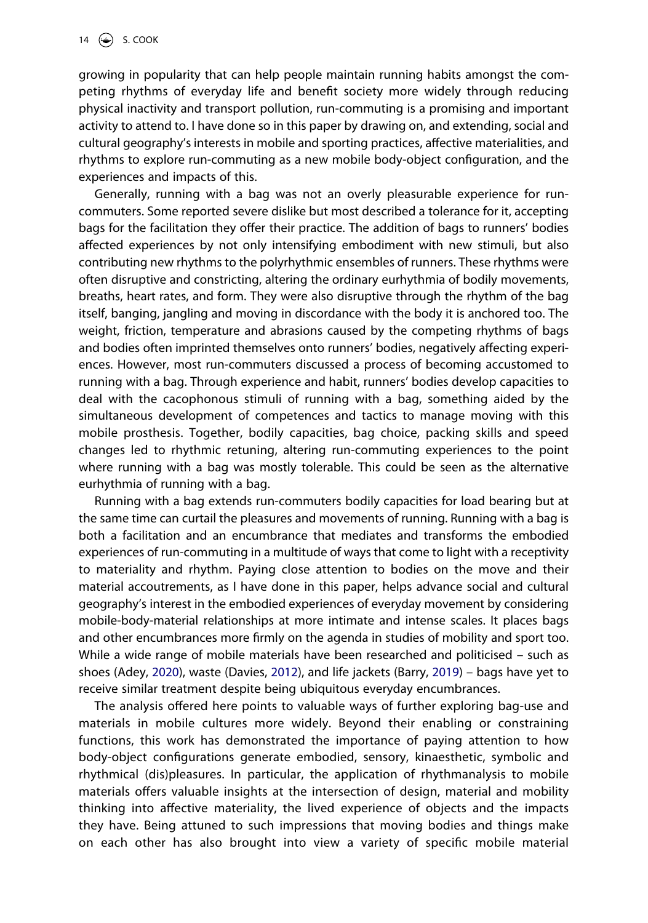growing in popularity that can help people maintain running habits amongst the competing rhythms of everyday life and benefit society more widely through reducing physical inactivity and transport pollution, run-commuting is a promising and important activity to attend to. I have done so in this paper by drawing on, and extending, social and cultural geography's interests in mobile and sporting practices, affective materialities, and rhythms to explore run-commuting as a new mobile body-object configuration, and the experiences and impacts of this.

Generally, running with a bag was not an overly pleasurable experience for runcommuters. Some reported severe dislike but most described a tolerance for it, accepting bags for the facilitation they offer their practice. The addition of bags to runners' bodies affected experiences by not only intensifying embodiment with new stimuli, but also contributing new rhythms to the polyrhythmic ensembles of runners. These rhythms were often disruptive and constricting, altering the ordinary eurhythmia of bodily movements, breaths, heart rates, and form. They were also disruptive through the rhythm of the bag itself, banging, jangling and moving in discordance with the body it is anchored too. The weight, friction, temperature and abrasions caused by the competing rhythms of bags and bodies often imprinted themselves onto runners' bodies, negatively affecting experiences. However, most run-commuters discussed a process of becoming accustomed to running with a bag. Through experience and habit, runners' bodies develop capacities to deal with the cacophonous stimuli of running with a bag, something aided by the simultaneous development of competences and tactics to manage moving with this mobile prosthesis. Together, bodily capacities, bag choice, packing skills and speed changes led to rhythmic retuning, altering run-commuting experiences to the point where running with a bag was mostly tolerable. This could be seen as the alternative eurhythmia of running with a bag.

Running with a bag extends run-commuters bodily capacities for load bearing but at the same time can curtail the pleasures and movements of running. Running with a bag is both a facilitation and an encumbrance that mediates and transforms the embodied experiences of run-commuting in a multitude of ways that come to light with a receptivity to materiality and rhythm. Paying close attention to bodies on the move and their material accoutrements, as I have done in this paper, helps advance social and cultural geography's interest in the embodied experiences of everyday movement by considering mobile-body-material relationships at more intimate and intense scales. It places bags and other encumbrances more firmly on the agenda in studies of mobility and sport too. While a wide range of mobile materials have been researched and politicised – such as shoes (Adey, [2020](#page-16-11)), waste (Davies, [2012\)](#page-17-20), and life jackets (Barry, [2019\)](#page-16-12) – bags have yet to receive similar treatment despite being ubiquitous everyday encumbrances.

<span id="page-14-0"></span>The analysis offered here points to valuable ways of further exploring bag-use and materials in mobile cultures more widely. Beyond their enabling or constraining functions, this work has demonstrated the importance of paying attention to how body-object configurations generate embodied, sensory, kinaesthetic, symbolic and rhythmical (dis)pleasures. In particular, the application of rhythmanalysis to mobile materials offers valuable insights at the intersection of design, material and mobility thinking into affective materiality, the lived experience of objects and the impacts they have. Being attuned to such impressions that moving bodies and things make on each other has also brought into view a variety of specific mobile material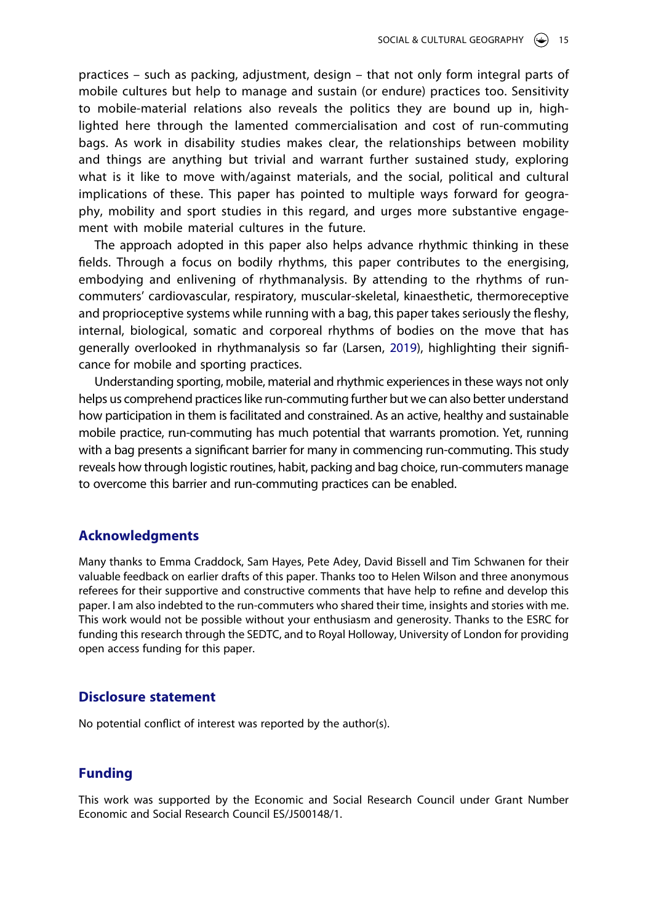practices – such as packing, adjustment, design – that not only form integral parts of mobile cultures but help to manage and sustain (or endure) practices too. Sensitivity to mobile-material relations also reveals the politics they are bound up in, highlighted here through the lamented commercialisation and cost of run-commuting bags. As work in disability studies makes clear, the relationships between mobility and things are anything but trivial and warrant further sustained study, exploring what is it like to move with/against materials, and the social, political and cultural implications of these. This paper has pointed to multiple ways forward for geography, mobility and sport studies in this regard, and urges more substantive engagement with mobile material cultures in the future.

The approach adopted in this paper also helps advance rhythmic thinking in these fields. Through a focus on bodily rhythms, this paper contributes to the energising, embodying and enlivening of rhythmanalysis. By attending to the rhythms of runcommuters' cardiovascular, respiratory, muscular-skeletal, kinaesthetic, thermoreceptive and proprioceptive systems while running with a bag, this paper takes seriously the fleshy, internal, biological, somatic and corporeal rhythms of bodies on the move that has generally overlooked in rhythmanalysis so far (Larsen, [2019](#page-18-9)), highlighting their significance for mobile and sporting practices.

Understanding sporting, mobile, material and rhythmic experiences in these ways not only helps us comprehend practices like run-commuting further but we can also better understand how participation in them is facilitated and constrained. As an active, healthy and sustainable mobile practice, run-commuting has much potential that warrants promotion. Yet, running with a bag presents a significant barrier for many in commencing run-commuting. This study reveals how through logistic routines, habit, packing and bag choice, run-commuters manage to overcome this barrier and run-commuting practices can be enabled.

#### **Acknowledgments**

Many thanks to Emma Craddock, Sam Hayes, Pete Adey, David Bissell and Tim Schwanen for their valuable feedback on earlier drafts of this paper. Thanks too to Helen Wilson and three anonymous referees for their supportive and constructive comments that have help to refine and develop this paper. I am also indebted to the run-commuters who shared their time, insights and stories with me. This work would not be possible without your enthusiasm and generosity. Thanks to the ESRC for funding this research through the SEDTC, and to Royal Holloway, University of London for providing open access funding for this paper.

## **Disclosure statement**

No potential conflict of interest was reported by the author(s).

## **Funding**

This work was supported by the Economic and Social Research Council under Grant Number Economic and Social Research Council ES/J500148/1.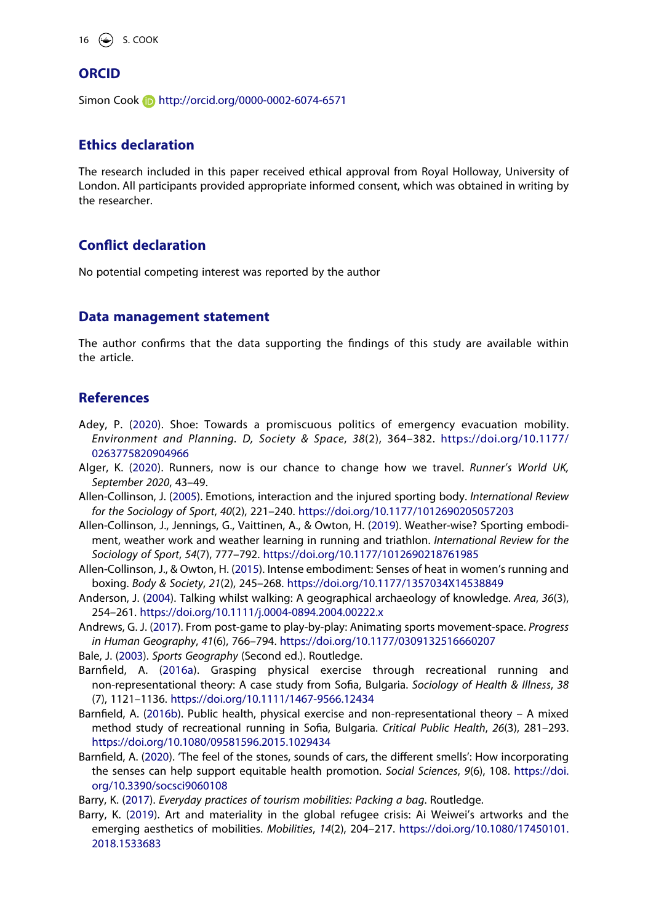16  $\bigodot$  S. COOK

#### **ORCID**

Simon Cook **b** http://orcid.org/0000-0002-6074-6571

#### **Ethics declaration**

The research included in this paper received ethical approval from Royal Holloway, University of London. All participants provided appropriate informed consent, which was obtained in writing by the researcher.

#### **Conflict declaration**

No potential competing interest was reported by the author

#### **Data management statement**

The author confirms that the data supporting the findings of this study are available within the article.

#### **References**

- <span id="page-16-11"></span>Adey, P. ([2020](#page-14-0)). Shoe: Towards a promiscuous politics of emergency evacuation mobility. *Environment and Planning. D, Society & Space*, *38*(2), 364–382. [https://doi.org/10.1177/](https://doi.org/10.1177/0263775820904966) [0263775820904966](https://doi.org/10.1177/0263775820904966)
- <span id="page-16-2"></span>Alger, K. ([2020\)](#page-3-0). Runners, now is our chance to change how we travel. *Runner's World UK, September 2020*, 43–49.
- <span id="page-16-3"></span>Allen-Collinson, J. [\(2005\)](#page-4-0). Emotions, interaction and the injured sporting body. *International Review for the Sociology of Sport*, *40*(2), 221–240. <https://doi.org/10.1177/1012690205057203>
- <span id="page-16-6"></span>Allen-Collinson, J., Jennings, G., Vaittinen, A., & Owton, H. ([2019](#page-4-1)). Weather-wise? Sporting embodiment, weather work and weather learning in running and triathlon. *International Review for the Sociology of Sport*, *54*(7), 777–792. <https://doi.org/10.1177/1012690218761985>
- <span id="page-16-5"></span>Allen-Collinson, J., & Owton, H. ([2015](#page-4-2)). Intense embodiment: Senses of heat in women's running and boxing. *Body & Society*, *21*(2), 245–268. <https://doi.org/10.1177/1357034X14538849>
- <span id="page-16-9"></span>Anderson, J. [\(2004\)](#page-8-0). Talking whilst walking: A geographical archaeology of knowledge. *Area*, *36*(3), 254–261. <https://doi.org/10.1111/j.0004-0894.2004.00222.x>
- <span id="page-16-1"></span>Andrews, G. J. ([2017](#page-3-1)). From post-game to play-by-play: Animating sports movement-space. *Progress in Human Geography*, *41*(6), 766–794. <https://doi.org/10.1177/0309132516660207>

<span id="page-16-0"></span>Bale, J. [\(2003\)](#page-3-2). *Sports Geography* (Second ed.). Routledge.

- <span id="page-16-4"></span>Barnfield, A. ([2016a](#page-4-3)). Grasping physical exercise through recreational running and non-representational theory: A case study from Sofia, Bulgaria. *Sociology of Health & Illness*, *38*  (7), 1121–1136. <https://doi.org/10.1111/1467-9566.12434>
- <span id="page-16-8"></span>Barnfield, A. ([2016b](#page-5-0)). Public health, physical exercise and non-representational theory – A mixed method study of recreational running in Sofia, Bulgaria. *Critical Public Health*, *26*(3), 281–293. <https://doi.org/10.1080/09581596.2015.1029434>
- <span id="page-16-7"></span>Barnfield, A. [\(2020\)](#page-4-1). 'The feel of the stones, sounds of cars, the different smells': How incorporating the senses can help support equitable health promotion. *Social Sciences*, *9*(6), 108. [https://doi.](https://doi.org/10.3390/socsci9060108) [org/10.3390/socsci9060108](https://doi.org/10.3390/socsci9060108)

<span id="page-16-10"></span>Barry, K. ([2017](#page-13-0)). *Everyday practices of tourism mobilities: Packing a bag*. Routledge.

<span id="page-16-12"></span>Barry, K. ([2019](#page-14-0)). Art and materiality in the global refugee crisis: Ai Weiwei's artworks and the emerging aesthetics of mobilities. *Mobilities*, *14*(2), 204–217. [https://doi.org/10.1080/17450101.](https://doi.org/10.1080/17450101.2018.1533683) [2018.1533683](https://doi.org/10.1080/17450101.2018.1533683)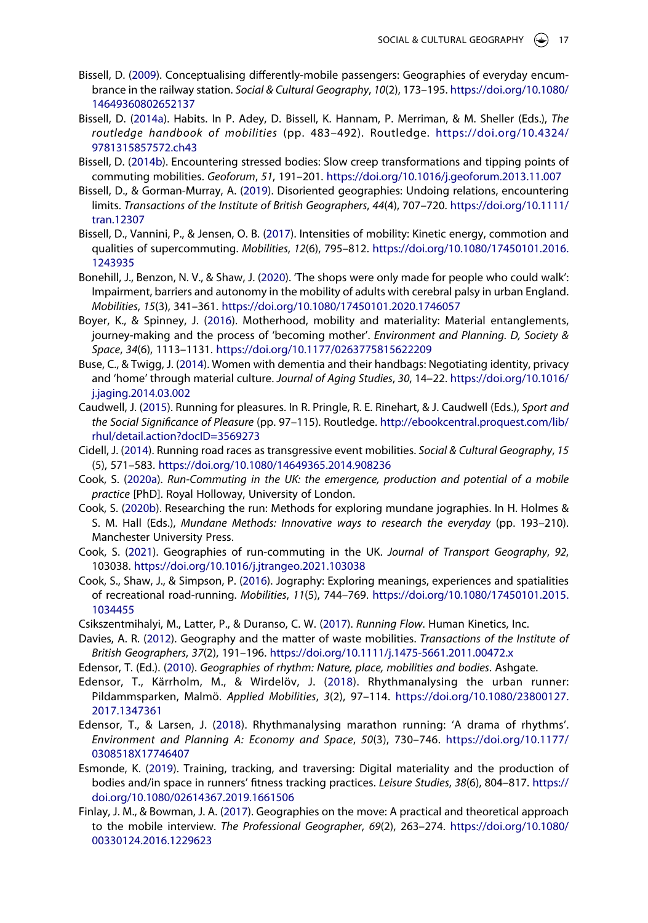- <span id="page-17-1"></span>Bissell, D. [\(2009\)](#page-3-3). Conceptualising differently-mobile passengers: Geographies of everyday encumbrance in the railway station. *Social & Cultural Geography*, *10*(2), 173–195. [https://doi.org/10.1080/](https://doi.org/10.1080/14649360802652137) [14649360802652137](https://doi.org/10.1080/14649360802652137)
- <span id="page-17-5"></span>Bissell, D. ([2014a\)](#page-4-4). Habits. In P. Adey, D. Bissell, K. Hannam, P. Merriman, & M. Sheller (Eds.), *The routledge handbook of mobilities* (pp. 483–492). Routledge. [https://doi.org/10.4324/](https://doi.org/10.4324/9781315857572.ch43)  [9781315857572.ch43](https://doi.org/10.4324/9781315857572.ch43)
- <span id="page-17-19"></span>Bissell, D. [\(2014b\)](#page-11-0). Encountering stressed bodies: Slow creep transformations and tipping points of commuting mobilities. *Geoforum*, *51*, 191–201. <https://doi.org/10.1016/j.geoforum.2013.11.007>
- <span id="page-17-18"></span>Bissell, D., & Gorman-Murray, A. [\(2019\)](#page-9-0). Disoriented geographies: Undoing relations, encountering limits. *Transactions of the Institute of British Geographers*, *44*(4), 707–720. [https://doi.org/10.1111/](https://doi.org/10.1111/tran.12307) [tran.12307](https://doi.org/10.1111/tran.12307)
- <span id="page-17-4"></span>Bissell, D., Vannini, P., & Jensen, O. B. ([2017](#page-4-5)). Intensities of mobility: Kinetic energy, commotion and qualities of supercommuting. *Mobilities*, *12*(6), 795–812. [https://doi.org/10.1080/17450101.2016.](https://doi.org/10.1080/17450101.2016.1243935) [1243935](https://doi.org/10.1080/17450101.2016.1243935)
- <span id="page-17-7"></span>Bonehill, J., Benzon, N. V., & Shaw, J. ([2020](#page-5-1)). 'The shops were only made for people who could walk': Impairment, barriers and autonomy in the mobility of adults with cerebral palsy in urban England. *Mobilities*, *15*(3), 341–361. <https://doi.org/10.1080/17450101.2020.1746057>
- <span id="page-17-6"></span>Boyer, K., & Spinney, J. ([2016](#page-5-2)). Motherhood, mobility and materiality: Material entanglements, journey-making and the process of 'becoming mother'. *Environment and Planning. D, Society & Space*, *34*(6), 1113–1131. <https://doi.org/10.1177/0263775815622209>
- <span id="page-17-9"></span>Buse, C., & Twigg, J. ([2014](#page-5-3)). Women with dementia and their handbags: Negotiating identity, privacy and 'home' through material culture. *Journal of Aging Studies*, *30*, 14–22. [https://doi.org/10.1016/](https://doi.org/10.1016/j.jaging.2014.03.002) [j.jaging.2014.03.002](https://doi.org/10.1016/j.jaging.2014.03.002)
- <span id="page-17-15"></span>Caudwell, J. ([2015](#page-7-0)). Running for pleasures. In R. Pringle, R. E. Rinehart, & J. Caudwell (Eds.), *Sport and the Social Significance of Pleasure* (pp. 97–115). Routledge. [http://ebookcentral.proquest.com/lib/](http://ebookcentral.proquest.com/lib/rhul/detail.action?docID=3569273) [rhul/detail.action?docID=3569273](http://ebookcentral.proquest.com/lib/rhul/detail.action?docID=3569273)
- <span id="page-17-12"></span>Cidell, J. ([2014](#page-6-0)). Running road races as transgressive event mobilities. *Social & Cultural Geography*, *15*  (5), 571–583. <https://doi.org/10.1080/14649365.2014.908236>
- <span id="page-17-2"></span>Cook, S. ([2020a\)](#page-3-4). *Run-Commuting in the UK: the emergence, production and potential of a mobile practice* [PhD]. Royal Holloway, University of London.
- <span id="page-17-17"></span>Cook, S. [\(2020b\)](#page-8-1). Researching the run: Methods for exploring mundane jographies. In H. Holmes & S. M. Hall (Eds.), *Mundane Methods: Innovative ways to research the everyday* (pp. 193–210). Manchester University Press.
- <span id="page-17-0"></span>Cook, S. ([2021](#page-2-0)). Geographies of run-commuting in the UK. *Journal of Transport Geography*, *92*, 103038. <https://doi.org/10.1016/j.jtrangeo.2021.103038>
- <span id="page-17-3"></span>Cook, S., Shaw, J., & Simpson, P. ([2016](#page-4-6)). Jography: Exploring meanings, experiences and spatialities of recreational road-running. *Mobilities*, *11*(5), 744–769. [https://doi.org/10.1080/17450101.2015.](https://doi.org/10.1080/17450101.2015.1034455) [1034455](https://doi.org/10.1080/17450101.2015.1034455)
- <span id="page-17-14"></span>Csikszentmihalyi, M., Latter, P., & Duranso, C. W. ([2017](#page-7-1)). *Running Flow*. Human Kinetics, Inc.
- <span id="page-17-20"></span>Davies, A. R. ([2012](#page-14-0)). Geography and the matter of waste mobilities. *Transactions of the Institute of British Geographers*, *37*(2), 191–196. <https://doi.org/10.1111/j.1475-5661.2011.00472.x>
- <span id="page-17-11"></span>Edensor, T. (Ed.). [\(2010\)](#page-6-1). *Geographies of rhythm: Nature, place, mobilities and bodies*. Ashgate.
- <span id="page-17-8"></span>Edensor, T., Kärrholm, M., & Wirdelöv, J. ([2018\)](#page-5-4). Rhythmanalysing the urban runner: Pildammsparken, Malmö. *Applied Mobilities*, *3*(2), 97–114. [https://doi.org/10.1080/23800127.](https://doi.org/10.1080/23800127.2017.1347361) [2017.1347361](https://doi.org/10.1080/23800127.2017.1347361)
- <span id="page-17-10"></span>Edensor, T., & Larsen, J. ([2018\)](#page-6-2). Rhythmanalysing marathon running: 'A drama of rhythms'. *Environment and Planning A: Economy and Space*, *50*(3), 730–746. [https://doi.org/10.1177/](https://doi.org/10.1177/0308518X17746407) [0308518X17746407](https://doi.org/10.1177/0308518X17746407)
- <span id="page-17-13"></span>Esmonde, K. [\(2019\)](#page-7-2). Training, tracking, and traversing: Digital materiality and the production of bodies and/in space in runners' fitness tracking practices. *Leisure Studies*, *38*(6), 804–817. [https://](https://doi.org/10.1080/02614367.2019.1661506) [doi.org/10.1080/02614367.2019.1661506](https://doi.org/10.1080/02614367.2019.1661506)
- <span id="page-17-16"></span>Finlay, J. M., & Bowman, J. A. [\(2017\)](#page-8-2). Geographies on the move: A practical and theoretical approach to the mobile interview. *The Professional Geographer*, *69*(2), 263–274. [https://doi.org/10.1080/](https://doi.org/10.1080/00330124.2016.1229623) [00330124.2016.1229623](https://doi.org/10.1080/00330124.2016.1229623)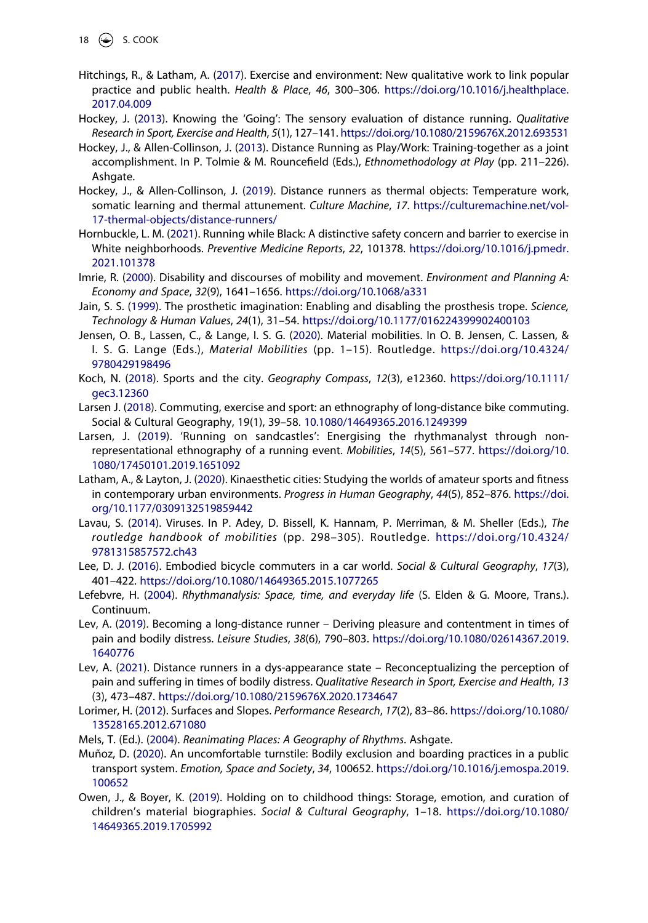- <span id="page-18-4"></span>Hitchings, R., & Latham, A. ([2017](#page-3-5)). Exercise and environment: New qualitative work to link popular practice and public health. *Health & Place*, *46*, 300–306. [https://doi.org/10.1016/j.healthplace.](https://doi.org/10.1016/j.healthplace.2017.04.009) [2017.04.009](https://doi.org/10.1016/j.healthplace.2017.04.009)
- <span id="page-18-6"></span>Hockey, J. ([2013](#page-4-0)). Knowing the 'Going': The sensory evaluation of distance running. *Qualitative Research in Sport, Exercise and Health*, *5*(1), 127–141.<https://doi.org/10.1080/2159676X.2012.693531>
- <span id="page-18-19"></span>Hockey, J., & Allen-Collinson, J. [\(2013\)](#page-8-3). Distance Running as Play/Work: Training-together as a joint accomplishment. In P. Tolmie & M. Rouncefield (Eds.), *Ethnomethodology at Play* (pp. 211–226). Ashgate.
- <span id="page-18-20"></span>Hockey, J., & Allen-Collinson, J. [\(2019\)](#page-10-0). Distance runners as thermal objects: Temperature work, somatic learning and thermal attunement. *Culture Machine*, *17*. [https://culturemachine.net/vol-](https://culturemachine.net/vol-17-thermal-objects/distance-runners/)[17-thermal-objects/distance-runners/](https://culturemachine.net/vol-17-thermal-objects/distance-runners/)
- <span id="page-18-18"></span>Hornbuckle, L. M. ([2021](#page-7-3)). Running while Black: A distinctive safety concern and barrier to exercise in White neighborhoods. *Preventive Medicine Reports*, *22*, 101378. [https://doi.org/10.1016/j.pmedr.](https://doi.org/10.1016/j.pmedr.2021.101378) [2021.101378](https://doi.org/10.1016/j.pmedr.2021.101378)
- <span id="page-18-12"></span>Imrie, R. ([2000](#page-5-5)). Disability and discourses of mobility and movement. *Environment and Planning A: Economy and Space*, *32*(9), 1641–1656. <https://doi.org/10.1068/a331>
- <span id="page-18-15"></span>Jain, S. S. ([1999](#page-5-6)). The prosthetic imagination: Enabling and disabling the prosthesis trope. *Science, Technology & Human Values*, *24*(1), 31–54. <https://doi.org/10.1177/016224399902400103>
- <span id="page-18-14"></span>Jensen, O. B., Lassen, C., & Lange, I. S. G. [\(2020\)](#page-5-7). Material mobilities. In O. B. Jensen, C. Lassen, & I. S. G. Lange (Eds.), *Material Mobilities* (pp. 1–15). Routledge. [https://doi.org/10.4324/](https://doi.org/10.4324/9780429198496) [9780429198496](https://doi.org/10.4324/9780429198496)
- <span id="page-18-2"></span>Koch, N. ([2018](#page-3-6)). Sports and the city. *Geography Compass*, *12*(3), e12360. [https://doi.org/10.1111/](https://doi.org/10.1111/gec3.12360) [gec3.12360](https://doi.org/10.1111/gec3.12360)
- <span id="page-18-5"></span>Larsen J. ([2018](#page-3-7)). Commuting, exercise and sport: an ethnography of long-distance bike commuting. Social & Cultural Geography, 19(1), 39–58. [10.1080/14649365.2016.1249399](https://doi.org/10.1080/14649365.2016.1249399)
- <span id="page-18-9"></span>Larsen, J. ([2019\)](#page-4-2). 'Running on sandcastles': Energising the rhythmanalyst through nonrepresentational ethnography of a running event. *Mobilities*, *14*(5), 561–577. [https://doi.org/10.](https://doi.org/10.1080/17450101.2019.1651092) [1080/17450101.2019.1651092](https://doi.org/10.1080/17450101.2019.1651092)
- <span id="page-18-3"></span>Latham, A., & Layton, J. [\(2020\)](#page-3-6). Kinaesthetic cities: Studying the worlds of amateur sports and fitness in contemporary urban environments. *Progress in Human Geography*, *44*(5), 852–876. [https://doi.](https://doi.org/10.1177/0309132519859442) [org/10.1177/0309132519859442](https://doi.org/10.1177/0309132519859442)
- <span id="page-18-13"></span>Lavau, S. [\(2014](#page-5-5)). Viruses. In P. Adey, D. Bissell, K. Hannam, P. Merriman, & M. Sheller (Eds.), *The routledge handbook of mobilities* (pp. 298–305). Routledge. [https://doi.org/10.4324/](https://doi.org/10.4324/9781315857572.ch43)  [9781315857572.ch43](https://doi.org/10.4324/9781315857572.ch43)
- <span id="page-18-1"></span>Lee, D. J. [\(2016\)](#page-3-8). Embodied bicycle commuters in a car world. *Social & Cultural Geography*, *17*(3), 401–422. <https://doi.org/10.1080/14649365.2015.1077265>
- <span id="page-18-16"></span>Lefebvre, H. [\(2004\)](#page-6-3). *Rhythmanalysis: Space, time, and everyday life* (S. Elden & G. Moore, Trans.). Continuum.
- <span id="page-18-7"></span>Lev, A. [\(2019\)](#page-4-0). Becoming a long-distance runner – Deriving pleasure and contentment in times of pain and bodily distress. *Leisure Studies*, *38*(6), 790–803. [https://doi.org/10.1080/02614367.2019.](https://doi.org/10.1080/02614367.2019.1640776) [1640776](https://doi.org/10.1080/02614367.2019.1640776)
- <span id="page-18-10"></span>Lev, A. ([2021](#page-4-4)). Distance runners in a dys-appearance state – Reconceptualizing the perception of pain and suffering in times of bodily distress. *Qualitative Research in Sport, Exercise and Health*, *13*  (3), 473–487. <https://doi.org/10.1080/2159676X.2020.1734647>
- <span id="page-18-8"></span>Lorimer, H. [\(2012\)](#page-4-0). Surfaces and Slopes. *Performance Research*, *17*(2), 83–86. [https://doi.org/10.1080/](https://doi.org/10.1080/13528165.2012.671080) [13528165.2012.671080](https://doi.org/10.1080/13528165.2012.671080)
- <span id="page-18-17"></span>Mels, T. (Ed.). [\(2004\)](#page-6-4). *Reanimating Places: A Geography of Rhythms*. Ashgate.
- <span id="page-18-11"></span>Muñoz, D. ([2020](#page-5-8)). An uncomfortable turnstile: Bodily exclusion and boarding practices in a public transport system. *Emotion, Space and Society*, *34*, 100652. [https://doi.org/10.1016/j.emospa.2019.](https://doi.org/10.1016/j.emospa.2019.100652) [100652](https://doi.org/10.1016/j.emospa.2019.100652)
- <span id="page-18-0"></span>Owen, J., & Boyer, K. [\(2019\)](#page-3-9). Holding on to childhood things: Storage, emotion, and curation of children's material biographies. *Social & Cultural Geography*, 1–18. [https://doi.org/10.1080/](https://doi.org/10.1080/14649365.2019.1705992) [14649365.2019.1705992](https://doi.org/10.1080/14649365.2019.1705992)